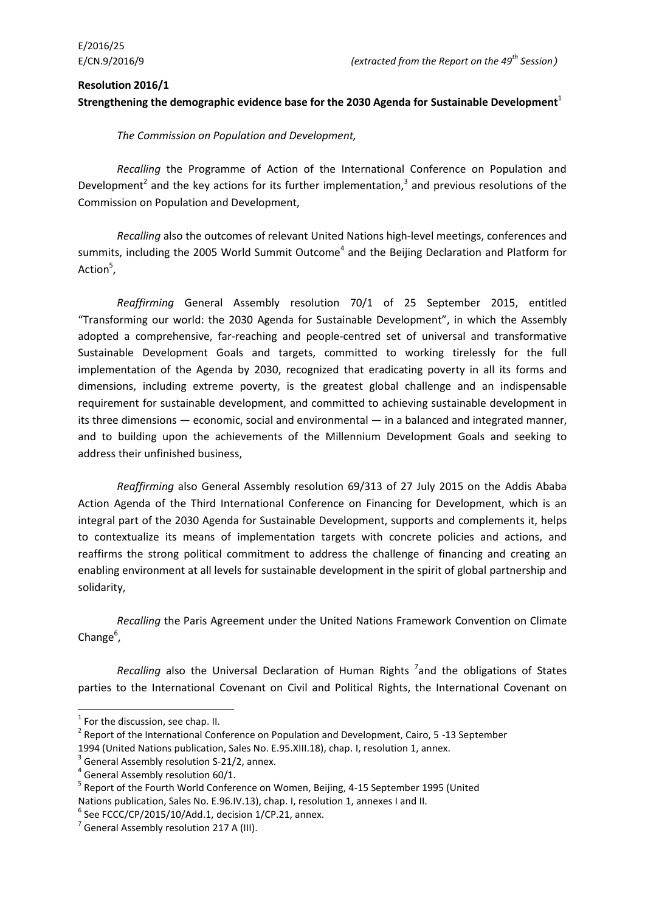#### **Resolution 2016/1**

### **Strengthening the demographic evidence base for the 2030 Agenda for Sustainable Development**<sup>1</sup>

*The Commission on Population and Development,*

*Recalling* the Programme of Action of the International Conference on Population and Development<sup>2</sup> and the key actions for its further implementation,<sup>3</sup> and previous resolutions of the Commission on Population and Development,

*Recalling* also the outcomes of relevant United Nations high-level meetings, conferences and summits, including the 2005 World Summit Outcome<sup>4</sup> and the Beijing Declaration and Platform for Action<sup>5</sup>,

*Reaffirming* General Assembly resolution 70/1 of 25 September 2015, entitled "Transforming our world: the 2030 Agenda for Sustainable Development", in which the Assembly adopted a comprehensive, far-reaching and people-centred set of universal and transformative Sustainable Development Goals and targets, committed to working tirelessly for the full implementation of the Agenda by 2030, recognized that eradicating poverty in all its forms and dimensions, including extreme poverty, is the greatest global challenge and an indispensable requirement for sustainable development, and committed to achieving sustainable development in its three dimensions — economic, social and environmental — in a balanced and integrated manner, and to building upon the achievements of the Millennium Development Goals and seeking to address their unfinished business,

*Reaffirming* also General Assembly resolution 69/313 of 27 July 2015 on the Addis Ababa Action Agenda of the Third International Conference on Financing for Development, which is an integral part of the 2030 Agenda for Sustainable Development, supports and complements it, helps to contextualize its means of implementation targets with concrete policies and actions, and reaffirms the strong political commitment to address the challenge of financing and creating an enabling environment at all levels for sustainable development in the spirit of global partnership and solidarity,

*Recalling* the Paris Agreement under the United Nations Framework Convention on Climate Change<sup>6</sup>,

Recalling also the Universal Declaration of Human Rights<sup>7</sup> and the obligations of States parties to the International Covenant on Civil and Political Rights, the International Covenant on

1

 $<sup>1</sup>$  For the discussion, see chap. II.</sup>

<sup>&</sup>lt;sup>2</sup> Report of the International Conference on Population and Development, Cairo, 5 -13 September

<sup>1994 (</sup>United Nations publication, Sales No. E.95.XIII.18), chap. I, resolution 1, annex.

 $3$  General Assembly resolution S-21/2, annex.

<sup>&</sup>lt;sup>4</sup> General Assembly resolution 60/1.

<sup>&</sup>lt;sup>5</sup> Report of the Fourth World Conference on Women, Beijing, 4-15 September 1995 (United Nations publication, Sales No. E.96.IV.13), chap. I, resolution 1, annexes I and II.

 $6$  See FCCC/CP/2015/10/Add.1, decision 1/CP.21, annex.

 $<sup>7</sup>$  General Assembly resolution 217 A (III).</sup>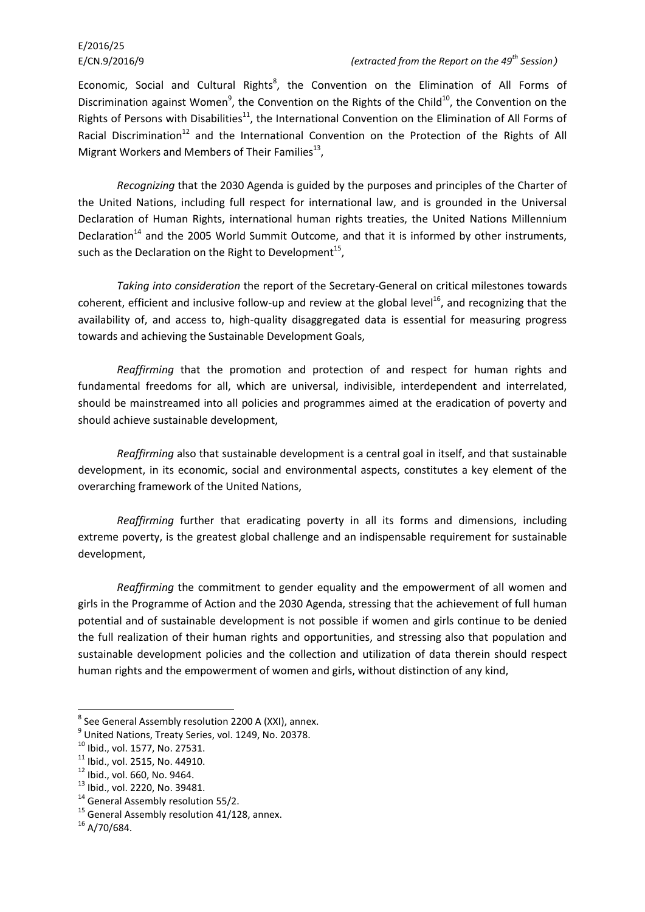# E/2016/25

#### E/CN.9/2016/9 *(extracted from the Report on the 49th Session)*

Economic, Social and Cultural Rights<sup>8</sup>, the Convention on the Elimination of All Forms of Discrimination against Women<sup>9</sup>, the Convention on the Rights of the Child<sup>10</sup>, the Convention on the Rights of Persons with Disabilities<sup>11</sup>, the International Convention on the Elimination of All Forms of Racial Discrimination<sup>12</sup> and the International Convention on the Protection of the Rights of All Migrant Workers and Members of Their Families $^{13}$ ,

*Recognizing* that the 2030 Agenda is guided by the purposes and principles of the Charter of the United Nations, including full respect for international law, and is grounded in the Universal Declaration of Human Rights, international human rights treaties, the United Nations Millennium Declaration<sup>14</sup> and the 2005 World Summit Outcome, and that it is informed by other instruments, such as the Declaration on the Right to Development<sup>15</sup>,

*Taking into consideration* the report of the Secretary-General on critical milestones towards coherent, efficient and inclusive follow-up and review at the global level<sup>16</sup>, and recognizing that the availability of, and access to, high-quality disaggregated data is essential for measuring progress towards and achieving the Sustainable Development Goals,

*Reaffirming* that the promotion and protection of and respect for human rights and fundamental freedoms for all, which are universal, indivisible, interdependent and interrelated, should be mainstreamed into all policies and programmes aimed at the eradication of poverty and should achieve sustainable development,

*Reaffirming* also that sustainable development is a central goal in itself, and that sustainable development, in its economic, social and environmental aspects, constitutes a key element of the overarching framework of the United Nations,

*Reaffirming* further that eradicating poverty in all its forms and dimensions, including extreme poverty, is the greatest global challenge and an indispensable requirement for sustainable development,

*Reaffirming* the commitment to gender equality and the empowerment of all women and girls in the Programme of Action and the 2030 Agenda, stressing that the achievement of full human potential and of sustainable development is not possible if women and girls continue to be denied the full realization of their human rights and opportunities, and stressing also that population and sustainable development policies and the collection and utilization of data therein should respect human rights and the empowerment of women and girls, without distinction of any kind,

 8 See General Assembly resolution 2200 A (XXI), annex.

<sup>&</sup>lt;sup>9</sup> United Nations, Treaty Series, vol. 1249, No. 20378.

<sup>10</sup> Ibid., vol. 1577, No. 27531.

 $11$  Ibid., vol. 2515, No. 44910.

 $12$  Ibid., vol. 660, No. 9464.

<sup>13</sup> Ibid., vol. 2220, No. 39481.

 $14$  General Assembly resolution 55/2.

<sup>&</sup>lt;sup>15</sup> General Assembly resolution 41/128, annex.

 $16$  A/70/684.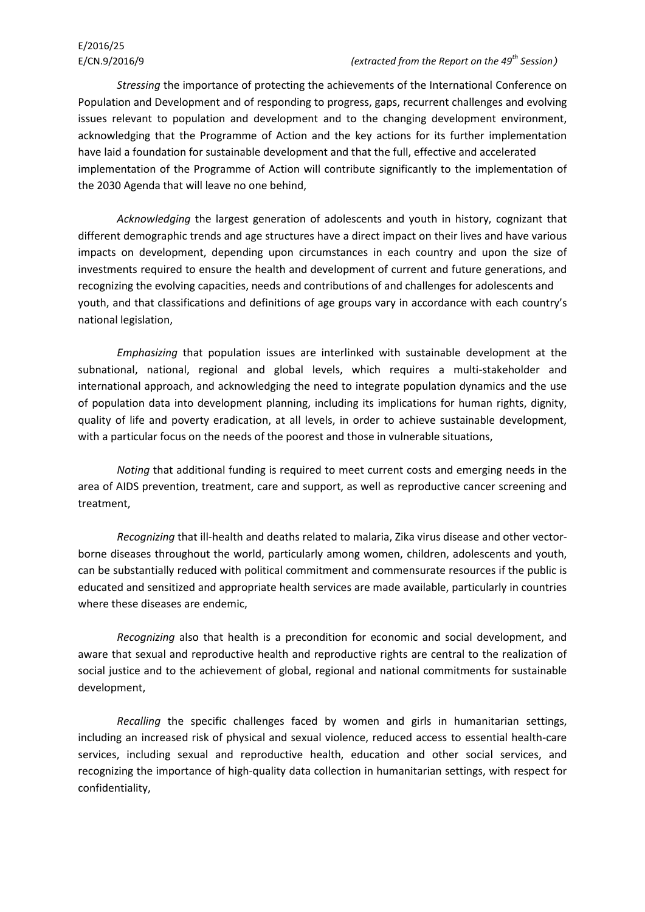*Stressing* the importance of protecting the achievements of the International Conference on Population and Development and of responding to progress, gaps, recurrent challenges and evolving issues relevant to population and development and to the changing development environment, acknowledging that the Programme of Action and the key actions for its further implementation have laid a foundation for sustainable development and that the full, effective and accelerated implementation of the Programme of Action will contribute significantly to the implementation of the 2030 Agenda that will leave no one behind,

*Acknowledging* the largest generation of adolescents and youth in history, cognizant that different demographic trends and age structures have a direct impact on their lives and have various impacts on development, depending upon circumstances in each country and upon the size of investments required to ensure the health and development of current and future generations, and recognizing the evolving capacities, needs and contributions of and challenges for adolescents and youth, and that classifications and definitions of age groups vary in accordance with each country's national legislation,

*Emphasizing* that population issues are interlinked with sustainable development at the subnational, national, regional and global levels, which requires a multi-stakeholder and international approach, and acknowledging the need to integrate population dynamics and the use of population data into development planning, including its implications for human rights, dignity, quality of life and poverty eradication, at all levels, in order to achieve sustainable development, with a particular focus on the needs of the poorest and those in vulnerable situations,

*Noting* that additional funding is required to meet current costs and emerging needs in the area of AIDS prevention, treatment, care and support, as well as reproductive cancer screening and treatment,

*Recognizing* that ill-health and deaths related to malaria, Zika virus disease and other vectorborne diseases throughout the world, particularly among women, children, adolescents and youth, can be substantially reduced with political commitment and commensurate resources if the public is educated and sensitized and appropriate health services are made available, particularly in countries where these diseases are endemic,

*Recognizing* also that health is a precondition for economic and social development, and aware that sexual and reproductive health and reproductive rights are central to the realization of social justice and to the achievement of global, regional and national commitments for sustainable development,

*Recalling* the specific challenges faced by women and girls in humanitarian settings, including an increased risk of physical and sexual violence, reduced access to essential health-care services, including sexual and reproductive health, education and other social services, and recognizing the importance of high-quality data collection in humanitarian settings, with respect for confidentiality,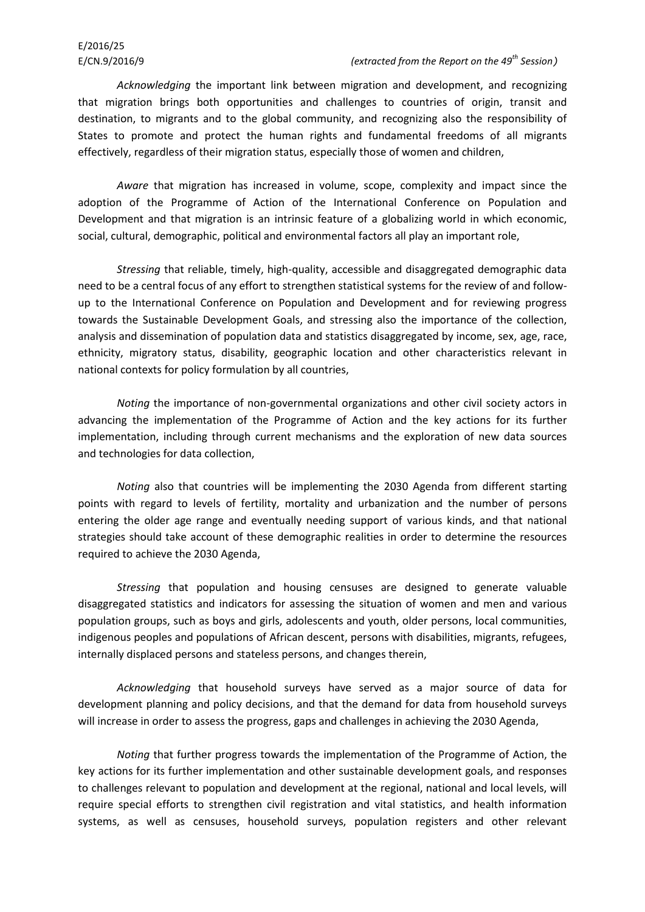*Acknowledging* the important link between migration and development, and recognizing that migration brings both opportunities and challenges to countries of origin, transit and destination, to migrants and to the global community, and recognizing also the responsibility of States to promote and protect the human rights and fundamental freedoms of all migrants effectively, regardless of their migration status, especially those of women and children,

*Aware* that migration has increased in volume, scope, complexity and impact since the adoption of the Programme of Action of the International Conference on Population and Development and that migration is an intrinsic feature of a globalizing world in which economic, social, cultural, demographic, political and environmental factors all play an important role,

*Stressing* that reliable, timely, high-quality, accessible and disaggregated demographic data need to be a central focus of any effort to strengthen statistical systems for the review of and followup to the International Conference on Population and Development and for reviewing progress towards the Sustainable Development Goals, and stressing also the importance of the collection, analysis and dissemination of population data and statistics disaggregated by income, sex, age, race, ethnicity, migratory status, disability, geographic location and other characteristics relevant in national contexts for policy formulation by all countries,

*Noting* the importance of non-governmental organizations and other civil society actors in advancing the implementation of the Programme of Action and the key actions for its further implementation, including through current mechanisms and the exploration of new data sources and technologies for data collection,

*Noting* also that countries will be implementing the 2030 Agenda from different starting points with regard to levels of fertility, mortality and urbanization and the number of persons entering the older age range and eventually needing support of various kinds, and that national strategies should take account of these demographic realities in order to determine the resources required to achieve the 2030 Agenda,

*Stressing* that population and housing censuses are designed to generate valuable disaggregated statistics and indicators for assessing the situation of women and men and various population groups, such as boys and girls, adolescents and youth, older persons, local communities, indigenous peoples and populations of African descent, persons with disabilities, migrants, refugees, internally displaced persons and stateless persons, and changes therein,

*Acknowledging* that household surveys have served as a major source of data for development planning and policy decisions, and that the demand for data from household surveys will increase in order to assess the progress, gaps and challenges in achieving the 2030 Agenda,

*Noting* that further progress towards the implementation of the Programme of Action, the key actions for its further implementation and other sustainable development goals, and responses to challenges relevant to population and development at the regional, national and local levels, will require special efforts to strengthen civil registration and vital statistics, and health information systems, as well as censuses, household surveys, population registers and other relevant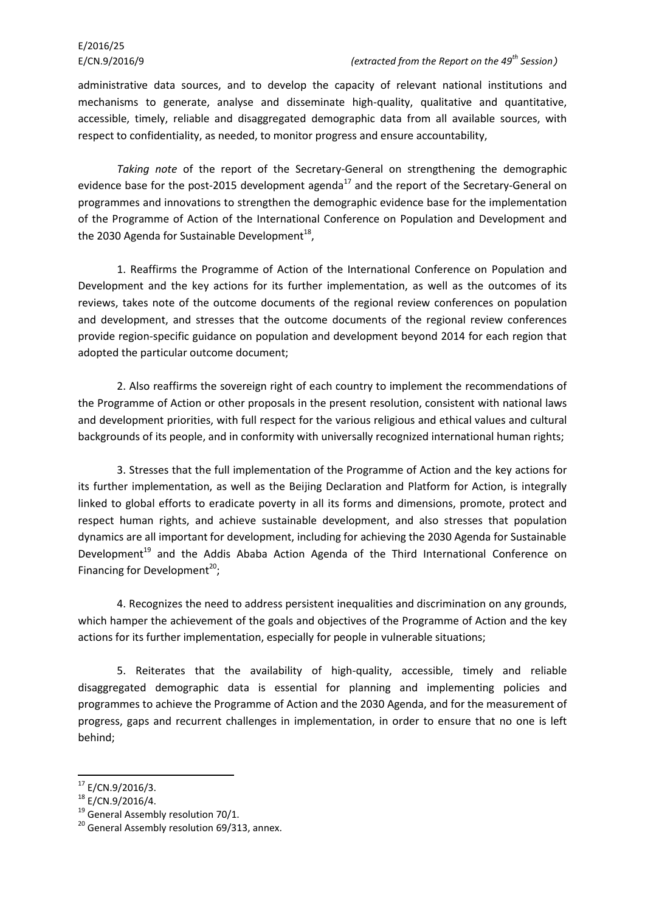administrative data sources, and to develop the capacity of relevant national institutions and mechanisms to generate, analyse and disseminate high-quality, qualitative and quantitative, accessible, timely, reliable and disaggregated demographic data from all available sources, with respect to confidentiality, as needed, to monitor progress and ensure accountability,

*Taking note* of the report of the Secretary-General on strengthening the demographic evidence base for the post-2015 development agenda<sup>17</sup> and the report of the Secretary-General on programmes and innovations to strengthen the demographic evidence base for the implementation of the Programme of Action of the International Conference on Population and Development and the 2030 Agenda for Sustainable Development $^{18}$ ,

1. Reaffirms the Programme of Action of the International Conference on Population and Development and the key actions for its further implementation, as well as the outcomes of its reviews, takes note of the outcome documents of the regional review conferences on population and development, and stresses that the outcome documents of the regional review conferences provide region-specific guidance on population and development beyond 2014 for each region that adopted the particular outcome document;

2. Also reaffirms the sovereign right of each country to implement the recommendations of the Programme of Action or other proposals in the present resolution, consistent with national laws and development priorities, with full respect for the various religious and ethical values and cultural backgrounds of its people, and in conformity with universally recognized international human rights;

3. Stresses that the full implementation of the Programme of Action and the key actions for its further implementation, as well as the Beijing Declaration and Platform for Action, is integrally linked to global efforts to eradicate poverty in all its forms and dimensions, promote, protect and respect human rights, and achieve sustainable development, and also stresses that population dynamics are all important for development, including for achieving the 2030 Agenda for Sustainable Development<sup>19</sup> and the Addis Ababa Action Agenda of the Third International Conference on Financing for Development<sup>20</sup>;

4. Recognizes the need to address persistent inequalities and discrimination on any grounds, which hamper the achievement of the goals and objectives of the Programme of Action and the key actions for its further implementation, especially for people in vulnerable situations;

5. Reiterates that the availability of high-quality, accessible, timely and reliable disaggregated demographic data is essential for planning and implementing policies and programmes to achieve the Programme of Action and the 2030 Agenda, and for the measurement of progress, gaps and recurrent challenges in implementation, in order to ensure that no one is left behind;

1

 $17$  E/CN.9/2016/3.

 $18$  E/CN.9/2016/4.

<sup>19</sup> General Assembly resolution 70/1.

 $20$  General Assembly resolution 69/313, annex.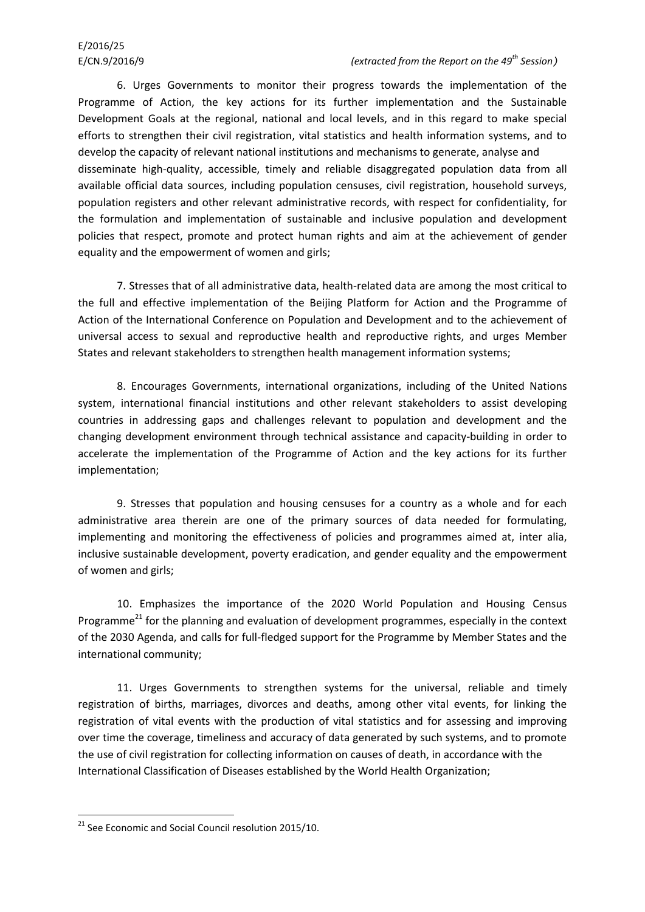6. Urges Governments to monitor their progress towards the implementation of the Programme of Action, the key actions for its further implementation and the Sustainable Development Goals at the regional, national and local levels, and in this regard to make special efforts to strengthen their civil registration, vital statistics and health information systems, and to develop the capacity of relevant national institutions and mechanisms to generate, analyse and disseminate high-quality, accessible, timely and reliable disaggregated population data from all available official data sources, including population censuses, civil registration, household surveys, population registers and other relevant administrative records, with respect for confidentiality, for the formulation and implementation of sustainable and inclusive population and development policies that respect, promote and protect human rights and aim at the achievement of gender equality and the empowerment of women and girls;

7. Stresses that of all administrative data, health-related data are among the most critical to the full and effective implementation of the Beijing Platform for Action and the Programme of Action of the International Conference on Population and Development and to the achievement of universal access to sexual and reproductive health and reproductive rights, and urges Member States and relevant stakeholders to strengthen health management information systems;

8. Encourages Governments, international organizations, including of the United Nations system, international financial institutions and other relevant stakeholders to assist developing countries in addressing gaps and challenges relevant to population and development and the changing development environment through technical assistance and capacity-building in order to accelerate the implementation of the Programme of Action and the key actions for its further implementation;

9. Stresses that population and housing censuses for a country as a whole and for each administrative area therein are one of the primary sources of data needed for formulating, implementing and monitoring the effectiveness of policies and programmes aimed at, inter alia, inclusive sustainable development, poverty eradication, and gender equality and the empowerment of women and girls;

10. Emphasizes the importance of the 2020 World Population and Housing Census Programme<sup>21</sup> for the planning and evaluation of development programmes, especially in the context of the 2030 Agenda, and calls for full-fledged support for the Programme by Member States and the international community;

11. Urges Governments to strengthen systems for the universal, reliable and timely registration of births, marriages, divorces and deaths, among other vital events, for linking the registration of vital events with the production of vital statistics and for assessing and improving over time the coverage, timeliness and accuracy of data generated by such systems, and to promote the use of civil registration for collecting information on causes of death, in accordance with the International Classification of Diseases established by the World Health Organization;

**.** 

 $21$  See Economic and Social Council resolution 2015/10.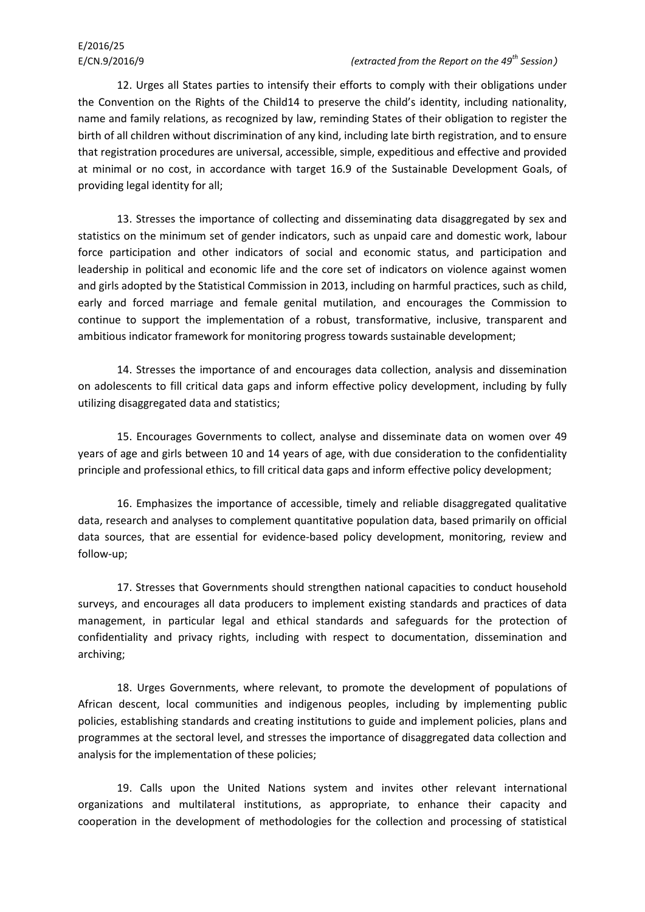12. Urges all States parties to intensify their efforts to comply with their obligations under the Convention on the Rights of the Child14 to preserve the child's identity, including nationality, name and family relations, as recognized by law, reminding States of their obligation to register the birth of all children without discrimination of any kind, including late birth registration, and to ensure that registration procedures are universal, accessible, simple, expeditious and effective and provided at minimal or no cost, in accordance with target 16.9 of the Sustainable Development Goals, of providing legal identity for all;

13. Stresses the importance of collecting and disseminating data disaggregated by sex and statistics on the minimum set of gender indicators, such as unpaid care and domestic work, labour force participation and other indicators of social and economic status, and participation and leadership in political and economic life and the core set of indicators on violence against women and girls adopted by the Statistical Commission in 2013, including on harmful practices, such as child, early and forced marriage and female genital mutilation, and encourages the Commission to continue to support the implementation of a robust, transformative, inclusive, transparent and ambitious indicator framework for monitoring progress towards sustainable development;

14. Stresses the importance of and encourages data collection, analysis and dissemination on adolescents to fill critical data gaps and inform effective policy development, including by fully utilizing disaggregated data and statistics;

15. Encourages Governments to collect, analyse and disseminate data on women over 49 years of age and girls between 10 and 14 years of age, with due consideration to the confidentiality principle and professional ethics, to fill critical data gaps and inform effective policy development;

16. Emphasizes the importance of accessible, timely and reliable disaggregated qualitative data, research and analyses to complement quantitative population data, based primarily on official data sources, that are essential for evidence-based policy development, monitoring, review and follow-up;

17. Stresses that Governments should strengthen national capacities to conduct household surveys, and encourages all data producers to implement existing standards and practices of data management, in particular legal and ethical standards and safeguards for the protection of confidentiality and privacy rights, including with respect to documentation, dissemination and archiving;

18. Urges Governments, where relevant, to promote the development of populations of African descent, local communities and indigenous peoples, including by implementing public policies, establishing standards and creating institutions to guide and implement policies, plans and programmes at the sectoral level, and stresses the importance of disaggregated data collection and analysis for the implementation of these policies;

19. Calls upon the United Nations system and invites other relevant international organizations and multilateral institutions, as appropriate, to enhance their capacity and cooperation in the development of methodologies for the collection and processing of statistical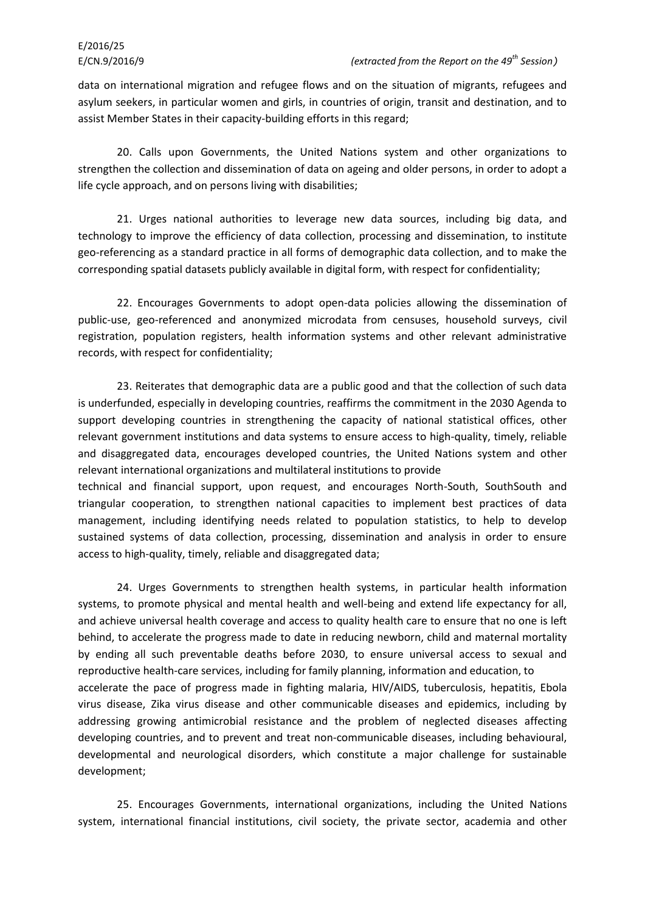data on international migration and refugee flows and on the situation of migrants, refugees and asylum seekers, in particular women and girls, in countries of origin, transit and destination, and to assist Member States in their capacity-building efforts in this regard;

20. Calls upon Governments, the United Nations system and other organizations to strengthen the collection and dissemination of data on ageing and older persons, in order to adopt a life cycle approach, and on persons living with disabilities;

21. Urges national authorities to leverage new data sources, including big data, and technology to improve the efficiency of data collection, processing and dissemination, to institute geo-referencing as a standard practice in all forms of demographic data collection, and to make the corresponding spatial datasets publicly available in digital form, with respect for confidentiality;

22. Encourages Governments to adopt open-data policies allowing the dissemination of public-use, geo-referenced and anonymized microdata from censuses, household surveys, civil registration, population registers, health information systems and other relevant administrative records, with respect for confidentiality;

23. Reiterates that demographic data are a public good and that the collection of such data is underfunded, especially in developing countries, reaffirms the commitment in the 2030 Agenda to support developing countries in strengthening the capacity of national statistical offices, other relevant government institutions and data systems to ensure access to high-quality, timely, reliable and disaggregated data, encourages developed countries, the United Nations system and other relevant international organizations and multilateral institutions to provide

technical and financial support, upon request, and encourages North-South, SouthSouth and triangular cooperation, to strengthen national capacities to implement best practices of data management, including identifying needs related to population statistics, to help to develop sustained systems of data collection, processing, dissemination and analysis in order to ensure access to high-quality, timely, reliable and disaggregated data;

24. Urges Governments to strengthen health systems, in particular health information systems, to promote physical and mental health and well-being and extend life expectancy for all, and achieve universal health coverage and access to quality health care to ensure that no one is left behind, to accelerate the progress made to date in reducing newborn, child and maternal mortality by ending all such preventable deaths before 2030, to ensure universal access to sexual and reproductive health-care services, including for family planning, information and education, to accelerate the pace of progress made in fighting malaria, HIV/AIDS, tuberculosis, hepatitis, Ebola virus disease, Zika virus disease and other communicable diseases and epidemics, including by addressing growing antimicrobial resistance and the problem of neglected diseases affecting developing countries, and to prevent and treat non-communicable diseases, including behavioural, developmental and neurological disorders, which constitute a major challenge for sustainable development;

25. Encourages Governments, international organizations, including the United Nations system, international financial institutions, civil society, the private sector, academia and other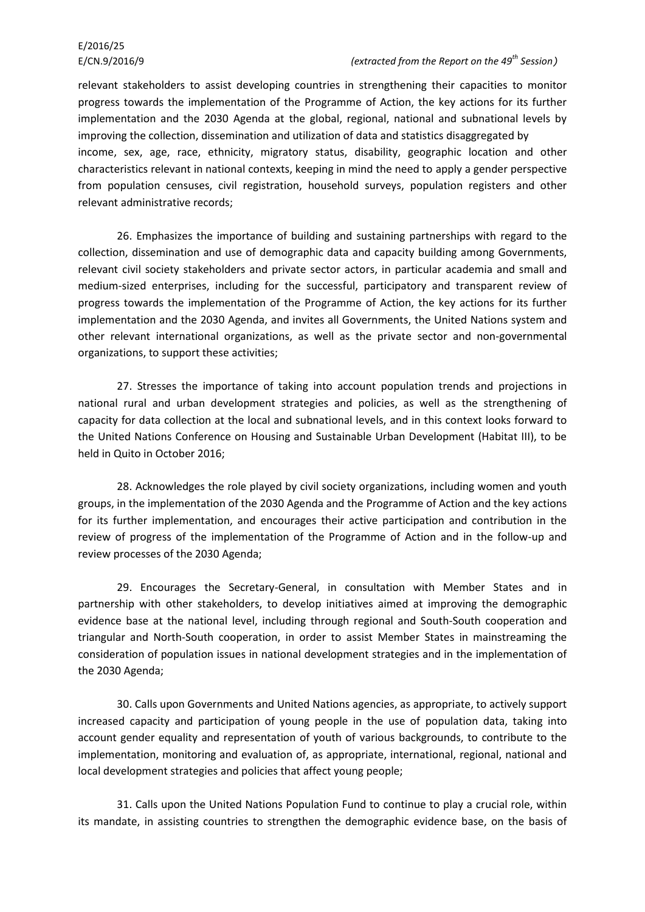# E/2016/25

relevant stakeholders to assist developing countries in strengthening their capacities to monitor progress towards the implementation of the Programme of Action, the key actions for its further implementation and the 2030 Agenda at the global, regional, national and subnational levels by improving the collection, dissemination and utilization of data and statistics disaggregated by income, sex, age, race, ethnicity, migratory status, disability, geographic location and other characteristics relevant in national contexts, keeping in mind the need to apply a gender perspective from population censuses, civil registration, household surveys, population registers and other relevant administrative records;

26. Emphasizes the importance of building and sustaining partnerships with regard to the collection, dissemination and use of demographic data and capacity building among Governments, relevant civil society stakeholders and private sector actors, in particular academia and small and medium-sized enterprises, including for the successful, participatory and transparent review of progress towards the implementation of the Programme of Action, the key actions for its further implementation and the 2030 Agenda, and invites all Governments, the United Nations system and other relevant international organizations, as well as the private sector and non-governmental organizations, to support these activities;

27. Stresses the importance of taking into account population trends and projections in national rural and urban development strategies and policies, as well as the strengthening of capacity for data collection at the local and subnational levels, and in this context looks forward to the United Nations Conference on Housing and Sustainable Urban Development (Habitat III), to be held in Quito in October 2016;

28. Acknowledges the role played by civil society organizations, including women and youth groups, in the implementation of the 2030 Agenda and the Programme of Action and the key actions for its further implementation, and encourages their active participation and contribution in the review of progress of the implementation of the Programme of Action and in the follow-up and review processes of the 2030 Agenda;

29. Encourages the Secretary-General, in consultation with Member States and in partnership with other stakeholders, to develop initiatives aimed at improving the demographic evidence base at the national level, including through regional and South-South cooperation and triangular and North-South cooperation, in order to assist Member States in mainstreaming the consideration of population issues in national development strategies and in the implementation of the 2030 Agenda;

30. Calls upon Governments and United Nations agencies, as appropriate, to actively support increased capacity and participation of young people in the use of population data, taking into account gender equality and representation of youth of various backgrounds, to contribute to the implementation, monitoring and evaluation of, as appropriate, international, regional, national and local development strategies and policies that affect young people;

31. Calls upon the United Nations Population Fund to continue to play a crucial role, within its mandate, in assisting countries to strengthen the demographic evidence base, on the basis of